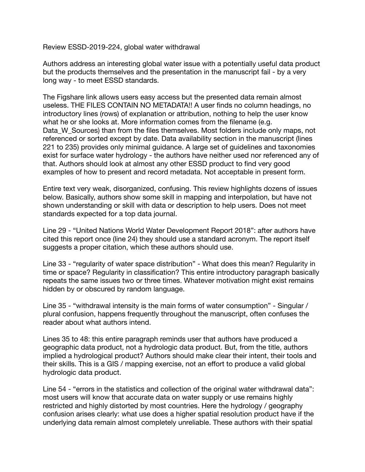Review ESSD-2019-224, global water withdrawal

Authors address an interesting global water issue with a potentially useful data product but the products themselves and the presentation in the manuscript fail - by a very long way - to meet ESSD standards.

The Figshare link allows users easy access but the presented data remain almost useless. THE FILES CONTAIN NO METADATA!! A user finds no column headings, no introductory lines (rows) of explanation or attribution, nothing to help the user know what he or she looks at. More information comes from the filename (e.g. Data W Sources) than from the files themselves. Most folders include only maps, not referenced or sorted except by date. Data availability section in the manuscript (lines 221 to 235) provides only minimal guidance. A large set of guidelines and taxonomies exist for surface water hydrology - the authors have neither used nor referenced any of that. Authors should look at almost any other ESSD product to find very good examples of how to present and record metadata. Not acceptable in present form.

Entire text very weak, disorganized, confusing. This review highlights dozens of issues below. Basically, authors show some skill in mapping and interpolation, but have not shown understanding or skill with data or description to help users. Does not meet standards expected for a top data journal.

Line 29 - "United Nations World Water Development Report 2018": after authors have cited this report once (line 24) they should use a standard acronym. The report itself suggests a proper citation, which these authors should use.

Line 33 - "regularity of water space distribution" - What does this mean? Regularity in time or space? Regularity in classification? This entire introductory paragraph basically repeats the same issues two or three times. Whatever motivation might exist remains hidden by or obscured by random language.

Line 35 - "withdrawal intensity is the main forms of water consumption" - Singular / plural confusion, happens frequently throughout the manuscript, often confuses the reader about what authors intend.

Lines 35 to 48: this entire paragraph reminds user that authors have produced a geographic data product, not a hydrologic data product. But, from the title, authors implied a hydrological product? Authors should make clear their intent, their tools and their skills. This is a GIS / mapping exercise, not an effort to produce a valid global hydrologic data product.

Line 54 - "errors in the statistics and collection of the original water withdrawal data": most users will know that accurate data on water supply or use remains highly restricted and highly distorted by most countries. Here the hydrology / geography confusion arises clearly: what use does a higher spatial resolution product have if the underlying data remain almost completely unreliable. These authors with their spatial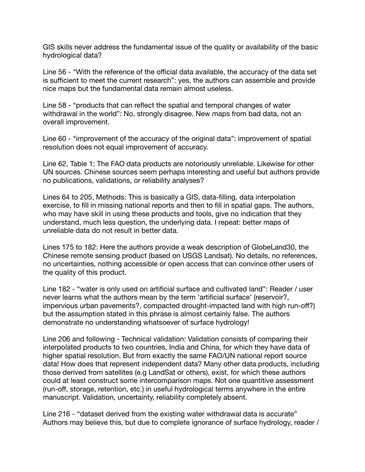GIS skills never address the fundamental issue of the quality or availability of the basic hydrological data?

Line 56 - "With the reference of the official data available, the accuracy of the data set is sufficient to meet the current research": yes, the authors can assemble and provide nice maps but the fundamental data remain almost useless.

Line 58 - "products that can reflect the spatial and temporal changes of water withdrawal in the world": No, strongly disagree. New maps from bad data, not an overall improvement.

Line 60 - "improvement of the accuracy of the original data": improvement of spatial resolution does not equal improvement of accuracy.

Line 62, Table 1: The FAO data products are notoriously unreliable. Likewise for other UN sources. Chinese sources seem perhaps interesting and useful but authors provide no publications, validations, or reliability analyses?

Lines 64 to 205, Methods: This is basically a GIS, data-filling, data interpolation exercise, to fill in missing national reports and then to fill in spatial gaps. The authors, who may have skill in using these products and tools, give no indication that they understand, much less question, the underlying data. I repeat: better maps of unreliable data do not result in better data.

Lines 175 to 182: Here the authors provide a weak description of GlobeLand30, the Chinese remote sensing product (based on USGS Landsat). No details, no references, no uncertainties, nothing accessible or open access that can convince other users of the quality of this product.

Line 182 - "water is only used on artificial surface and cultivated land": Reader / user never learns what the authors mean by the term 'artificial surface' (reservoir?, impervious urban pavements?, compacted drought-impacted land with high run-off?) but the assumption stated in this phrase is almost certainly false. The authors demonstrate no understanding whatsoever of surface hydrology!

Line 206 and following - Technical validation: Validation consists of comparing their interpolated products to two countries, India and China, for which they have data of higher spatial resolution. But from exactly the same FAO/UN national report source data! How does that represent independent data? Many other data products, including those derived from satellites (e.g LandSat or others), exist, for which these authors could at least construct some intercomparison maps. Not one quantitive assessment (run-off, storage, retention, etc.) in useful hydrological terms anywhere in the entire manuscript. Validation, uncertainty, reliability completely absent.

Line 216 - "dataset derived from the existing water withdrawal data is accurate" Authors may believe this, but due to complete ignorance of surface hydrology, reader /